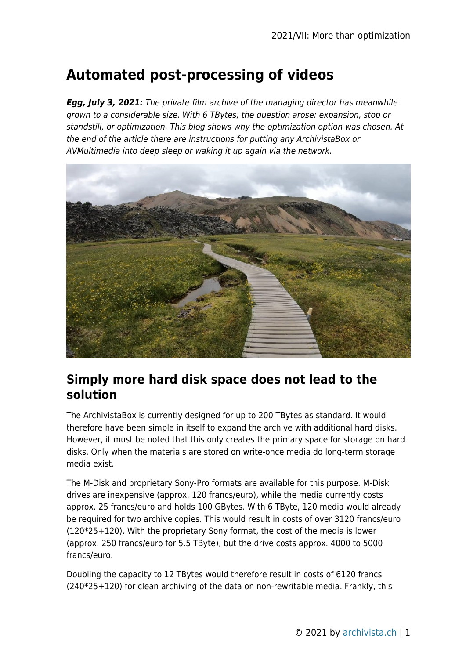# **Automated post-processing of videos**

*Egg, July 3, 2021:* The private film archive of the managing director has meanwhile grown to a considerable size. With 6 TBytes, the question arose: expansion, stop or standstill, or optimization. This blog shows why the optimization option was chosen. At the end of the article there are instructions for putting any ArchivistaBox or AVMultimedia into deep sleep or waking it up again via the network.



### **Simply more hard disk space does not lead to the solution**

The ArchivistaBox is currently designed for up to 200 TBytes as standard. It would therefore have been simple in itself to expand the archive with additional hard disks. However, it must be noted that this only creates the primary space for storage on hard disks. Only when the materials are stored on write-once media do long-term storage media exist.

The M-Disk and proprietary Sony-Pro formats are available for this purpose. M-Disk drives are inexpensive (approx. 120 francs/euro), while the media currently costs approx. 25 francs/euro and holds 100 GBytes. With 6 TByte, 120 media would already be required for two archive copies. This would result in costs of over 3120 francs/euro (120\*25+120). With the proprietary Sony format, the cost of the media is lower (approx. 250 francs/euro for 5.5 TByte), but the drive costs approx. 4000 to 5000 francs/euro.

Doubling the capacity to 12 TBytes would therefore result in costs of 6120 francs (240\*25+120) for clean archiving of the data on non-rewritable media. Frankly, this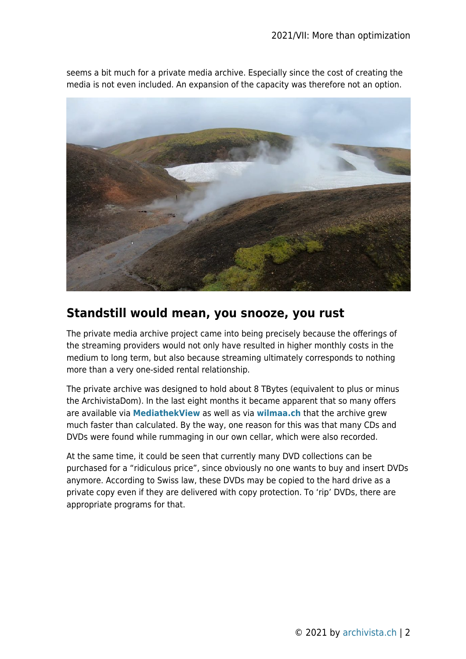

seems a bit much for a private media archive. Especially since the cost of creating the media is not even included. An expansion of the capacity was therefore not an option.

### **Standstill would mean, you snooze, you rust**

The private media archive project came into being precisely because the offerings of the streaming providers would not only have resulted in higher monthly costs in the medium to long term, but also because streaming ultimately corresponds to nothing more than a very one-sided rental relationship.

The private archive was designed to hold about 8 TBytes (equivalent to plus or minus the ArchivistaDom). In the last eight months it became apparent that so many offers are available via **[MediathekView](https://mediathekview.de/)** as well as via **[wilmaa.ch](https://www.wilmaa.com/)** that the archive grew much faster than calculated. By the way, one reason for this was that many CDs and DVDs were found while rummaging in our own cellar, which were also recorded.

At the same time, it could be seen that currently many DVD collections can be purchased for a "ridiculous price", since obviously no one wants to buy and insert DVDs anymore. According to Swiss law, these DVDs may be copied to the hard drive as a private copy even if they are delivered with copy protection. To 'rip' DVDs, there are appropriate programs for that.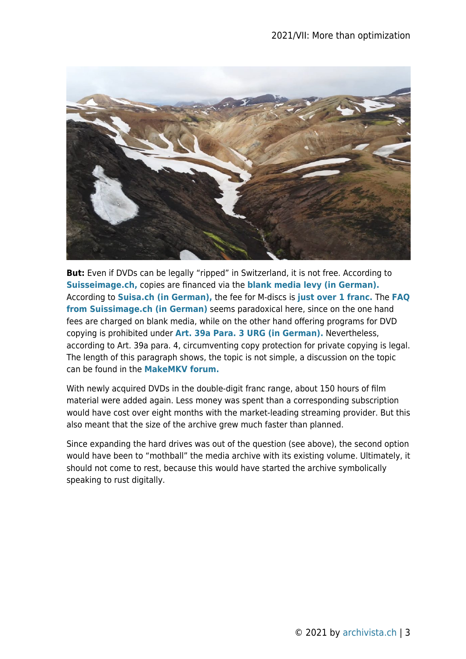

**But:** Even if DVDs can be legally "ripped" in Switzerland, it is not free. According to **[Suisseimage.ch,](https://www.suissimage.ch/download-faq-mb)** copies are financed via the **[blank media levy \(in German\).](https://www.suissimage.ch/fileadmin/content/pdf/8_Download_Merkblaetter/privatgebrauch_d.pdf)** According to **[Suisa.ch \(in German\),](https://www.suisa.ch/de/kunden/leertraegerverguetung/leertraegertarife/gemeinsamer-tarif-4.html)** the fee for M-discs is **[just over 1 franc.](https://www.suisa.ch/fileadmin/user_upload/downloadcenter/tarife/Tarife_2021_neu/GT4_2017-2022_GER.pdf)** The **[FAQ](https://www.suissimage.ch/fileadmin/content/pdf/8_Download_Merkblaetter/privatgebrauch_d.pdf) [from Suissimage.ch \(in German\)](https://www.suissimage.ch/fileadmin/content/pdf/8_Download_Merkblaetter/privatgebrauch_d.pdf)** seems paradoxical here, since on the one hand fees are charged on blank media, while on the other hand offering programs for DVD copying is prohibited under **[Art. 39a Para. 3 URG \(in German\).](https://fedlex.data.admin.ch/filestore/fedlex.data.admin.ch/eli/cc/1993/1798_1798_1798/20200401/de/pdf-a/fedlex-data-admin-ch-eli-cc-1993-1798_1798_1798-20200401-de-pdf-a.pdf)** Nevertheless, according to Art. 39a para. 4, circumventing copy protection for private copying is legal. The length of this paragraph shows, the topic is not simple, a discussion on the topic can be found in the **[MakeMKV forum.](https://forum.makemkv.com/forum/viewtopic.php?t=4701)**

With newly acquired DVDs in the double-digit franc range, about 150 hours of film material were added again. Less money was spent than a corresponding subscription would have cost over eight months with the market-leading streaming provider. But this also meant that the size of the archive grew much faster than planned.

Since expanding the hard drives was out of the question (see above), the second option would have been to "mothball" the media archive with its existing volume. Ultimately, it should not come to rest, because this would have started the archive symbolically speaking to rust digitally.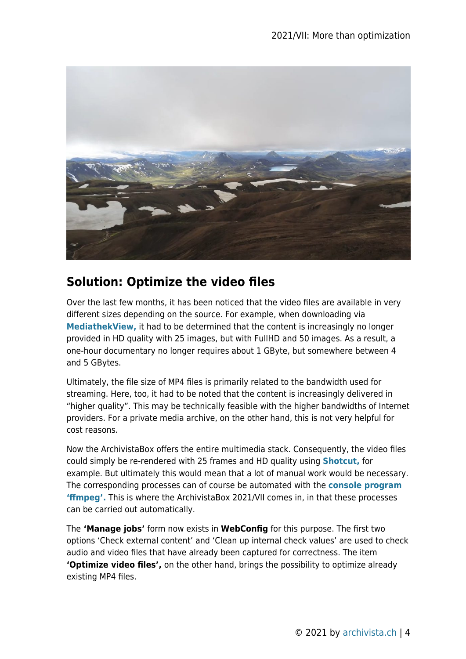

### **Solution: Optimize the video files**

Over the last few months, it has been noticed that the video files are available in very different sizes depending on the source. For example, when downloading via **[MediathekView,](https://mediathekview.de/)** it had to be determined that the content is increasingly no longer provided in HD quality with 25 images, but with FullHD and 50 images. As a result, a one-hour documentary no longer requires about 1 GByte, but somewhere between 4 and 5 GBytes.

Ultimately, the file size of MP4 files is primarily related to the bandwidth used for streaming. Here, too, it had to be noted that the content is increasingly delivered in "higher quality". This may be technically feasible with the higher bandwidths of Internet providers. For a private media archive, on the other hand, this is not very helpful for cost reasons.

Now the ArchivistaBox offers the entire multimedia stack. Consequently, the video files could simply be re-rendered with 25 frames and HD quality using **[Shotcut,](https://shotcut.org/)** for example. But ultimately this would mean that a lot of manual work would be necessary. The corresponding processes can of course be automated with the **[console program](https://ffmpeg.org/) ['ffmpeg'.](https://ffmpeg.org/)** This is where the ArchivistaBox 2021/VII comes in, in that these processes can be carried out automatically.

The **'Manage jobs'** form now exists in **WebConfig** for this purpose. The first two options 'Check external content' and 'Clean up internal check values' are used to check audio and video files that have already been captured for correctness. The item **'Optimize video files',** on the other hand, brings the possibility to optimize already existing MP4 files.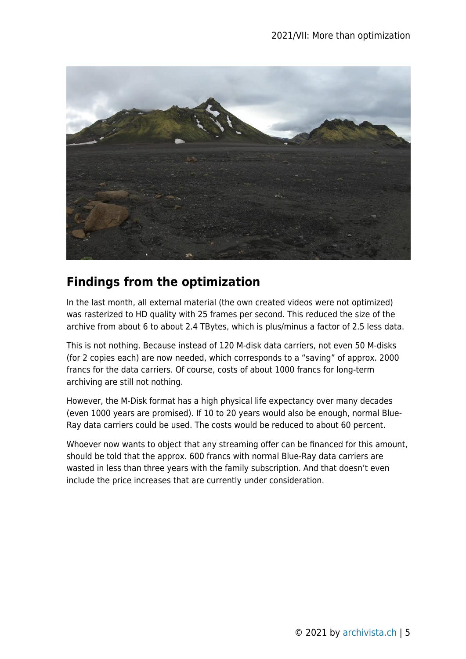

## **Findings from the optimization**

In the last month, all external material (the own created videos were not optimized) was rasterized to HD quality with 25 frames per second. This reduced the size of the archive from about 6 to about 2.4 TBytes, which is plus/minus a factor of 2.5 less data.

This is not nothing. Because instead of 120 M-disk data carriers, not even 50 M-disks (for 2 copies each) are now needed, which corresponds to a "saving" of approx. 2000 francs for the data carriers. Of course, costs of about 1000 francs for long-term archiving are still not nothing.

However, the M-Disk format has a high physical life expectancy over many decades (even 1000 years are promised). If 10 to 20 years would also be enough, normal Blue-Ray data carriers could be used. The costs would be reduced to about 60 percent.

Whoever now wants to object that any streaming offer can be financed for this amount, should be told that the approx. 600 francs with normal Blue-Ray data carriers are wasted in less than three years with the family subscription. And that doesn't even include the price increases that are currently under consideration.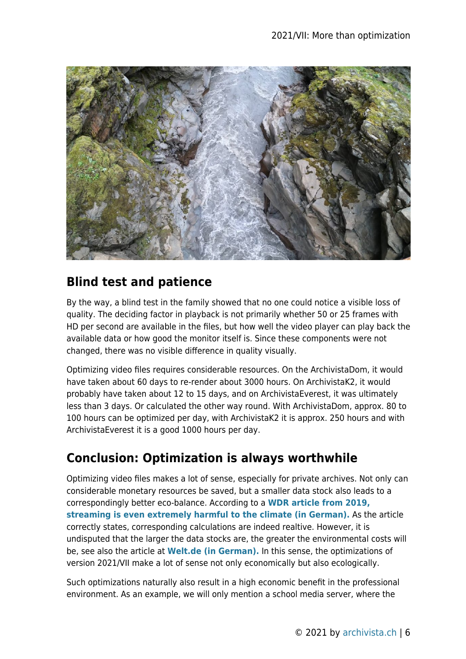

## **Blind test and patience**

By the way, a blind test in the family showed that no one could notice a visible loss of quality. The deciding factor in playback is not primarily whether 50 or 25 frames with HD per second are available in the files, but how well the video player can play back the available data or how good the monitor itself is. Since these components were not changed, there was no visible difference in quality visually.

Optimizing video files requires considerable resources. On the ArchivistaDom, it would have taken about 60 days to re-render about 3000 hours. On ArchivistaK2, it would probably have taken about 12 to 15 days, and on ArchivistaEverest, it was ultimately less than 3 days. Or calculated the other way round. With ArchivistaDom, approx. 80 to 100 hours can be optimized per day, with ArchivistaK2 it is approx. 250 hours and with ArchivistaEverest it is a good 1000 hours per day.

## **Conclusion: Optimization is always worthwhile**

Optimizing video files makes a lot of sense, especially for private archives. Not only can considerable monetary resources be saved, but a smaller data stock also leads to a correspondingly better eco-balance. According to a **[WDR article from 2019,](https://blog.wdr.de/digitalistan/streamen-ist-besonders-klimaschaedlich/) [streaming is even extremely harmful to the climate \(in German\).](https://blog.wdr.de/digitalistan/streamen-ist-besonders-klimaschaedlich/)** As the article correctly states, corresponding calculations are indeed realtive. However, it is undisputed that the larger the data stocks are, the greater the environmental costs will be, see also the article at **[Welt.de \(in German\).](https://www.welt.de/kmpkt/article192120327/Hingehoert-Warum-Musikstreaming-umweltschaedlicher-ist-als-CDs-und-Platten.html)** In this sense, the optimizations of version 2021/VII make a lot of sense not only economically but also ecologically.

Such optimizations naturally also result in a high economic benefit in the professional environment. As an example, we will only mention a school media server, where the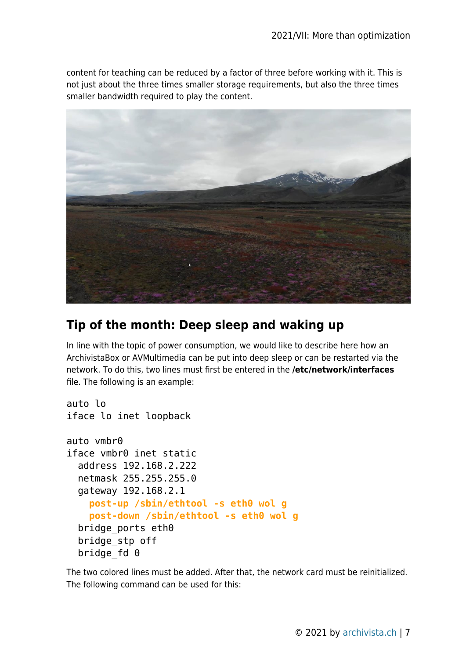content for teaching can be reduced by a factor of three before working with it. This is not just about the three times smaller storage requirements, but also the three times smaller bandwidth required to play the content.



#### **Tip of the month: Deep sleep and waking up**

In line with the topic of power consumption, we would like to describe here how an ArchivistaBox or AVMultimedia can be put into deep sleep or can be restarted via the network. To do this, two lines must first be entered in the **/etc/network/interfaces** file. The following is an example:

```
auto lo
iface lo inet loopback
auto vmbr0
iface vmbr0 inet static
   address 192.168.2.222
   netmask 255.255.255.0
   gateway 192.168.2.1
     post-up /sbin/ethtool -s eth0 wol g
     post-down /sbin/ethtool -s eth0 wol g
   bridge_ports eth0
   bridge_stp off
  bridge fd 0
```
The two colored lines must be added. After that, the network card must be reinitialized. The following command can be used for this: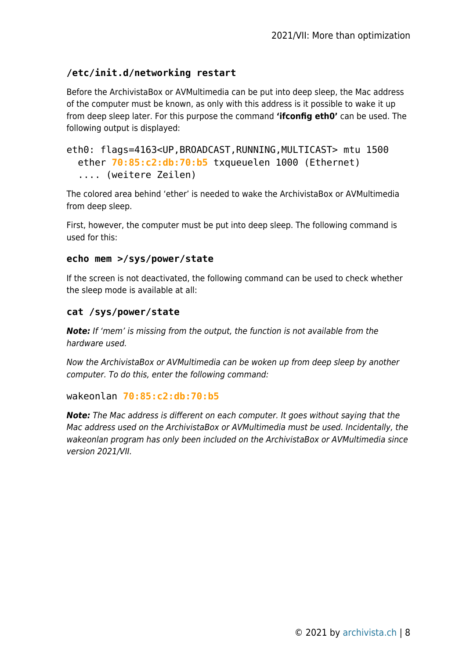#### **/etc/init.d/networking restart**

Before the ArchivistaBox or AVMultimedia can be put into deep sleep, the Mac address of the computer must be known, as only with this address is it possible to wake it up from deep sleep later. For this purpose the command **'ifconfig eth0'** can be used. The following output is displayed:

```
eth0: flags=4163<UP,BROADCAST,RUNNING,MULTICAST> mtu 1500
   ether 70:85:c2:db:70:b5 txqueuelen 1000 (Ethernet)
   .... (weitere Zeilen)
```
The colored area behind 'ether' is needed to wake the ArchivistaBox or AVMultimedia from deep sleep.

First, however, the computer must be put into deep sleep. The following command is used for this:

#### **echo mem >/sys/power/state**

If the screen is not deactivated, the following command can be used to check whether the sleep mode is available at all:

#### **cat /sys/power/state**

*Note:* If 'mem' is missing from the output, the function is not available from the hardware used.

Now the ArchivistaBox or AVMultimedia can be woken up from deep sleep by another computer. To do this, enter the following command:

#### wakeonlan **70:85:c2:db:70:b5**

*Note:* The Mac address is different on each computer. It goes without saying that the Mac address used on the ArchivistaBox or AVMultimedia must be used. Incidentally, the wakeonlan program has only been included on the ArchivistaBox or AVMultimedia since version 2021/VII.